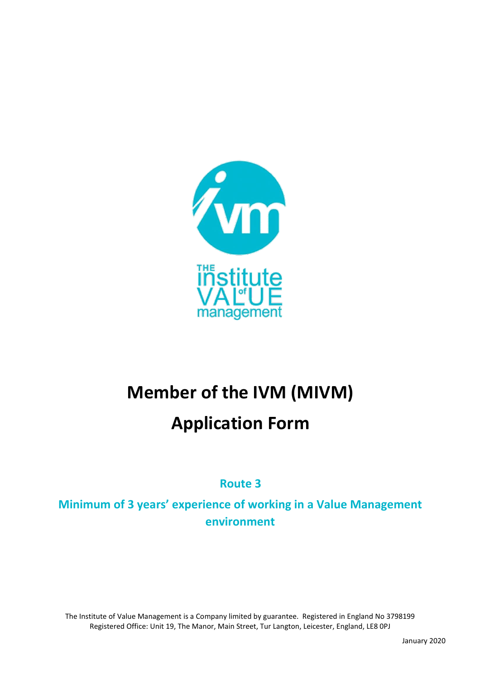

# **Member of the IVM (MIVM)**

# **Application Form**

**Route 3**

**Minimum of 3 years' experience of working in a Value Management environment**

The Institute of Value Management is a Company limited by guarantee. Registered in England No 3798199 Registered Office: Unit 19, The Manor, Main Street, Tur Langton, Leicester, England, LE8 0PJ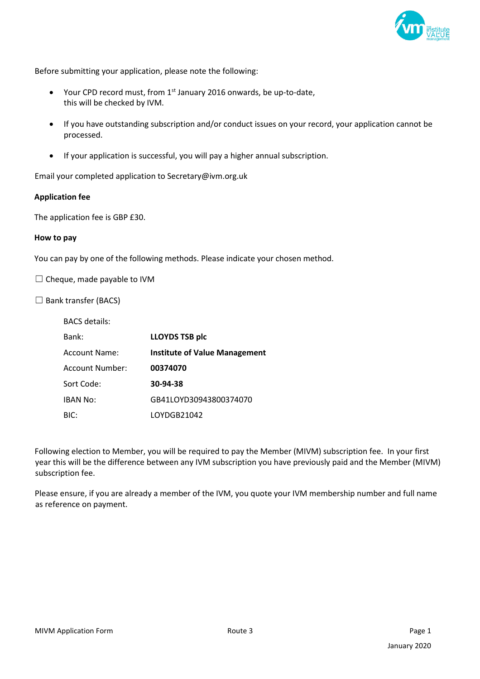

Before submitting your application, please note the following:

- Your CPD record must, from  $1<sup>st</sup>$  January 2016 onwards, be up-to-date, this will be checked by IVM.
- If you have outstanding subscription and/or conduct issues on your record, your application cannot be processed.
- If your application is successful, you will pay a higher annual subscription.

Email your completed application to Secretary@ivm.org.uk

#### **Application fee**

The application fee is GBP £30.

#### **How to pay**

You can pay by one of the following methods. Please indicate your chosen method.

 $\Box$  Cheque, made payable to IVM

 $\Box$  Bank transfer (BACS)

| <b>BACS</b> details: |                                      |
|----------------------|--------------------------------------|
| Bank:                | <b>LLOYDS TSB plc</b>                |
| Account Name:        | <b>Institute of Value Management</b> |
| Account Number:      | 00374070                             |
| Sort Code:           | 30-94-38                             |
| <b>IBAN No:</b>      | GB41LOYD30943800374070               |
| BIC:                 | LOYDGB21042                          |

Following election to Member, you will be required to pay the Member (MIVM) subscription fee. In your first year this will be the difference between any IVM subscription you have previously paid and the Member (MIVM) subscription fee.

Please ensure, if you are already a member of the IVM, you quote your IVM membership number and full name as reference on payment.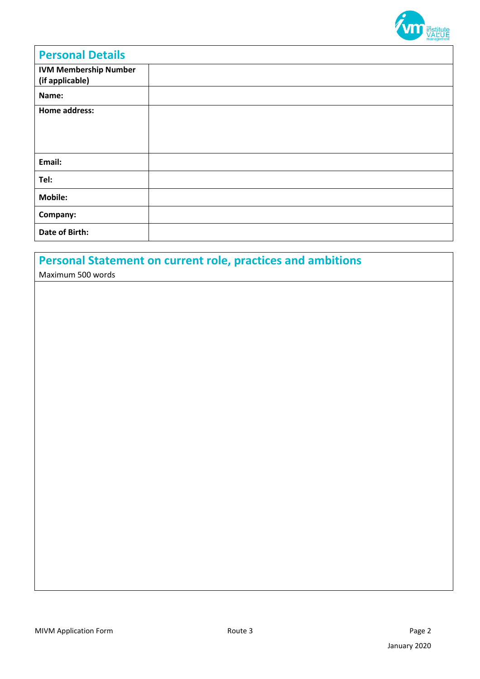

| <b>Personal Details</b>                         |  |
|-------------------------------------------------|--|
| <b>IVM Membership Number</b><br>(if applicable) |  |
| Name:                                           |  |
| <b>Home address:</b>                            |  |
| Email:                                          |  |
| Tel:                                            |  |
| <b>Mobile:</b>                                  |  |
| Company:                                        |  |
| Date of Birth:                                  |  |

## **Personal Statement on current role, practices and ambitions**

Maximum 500 words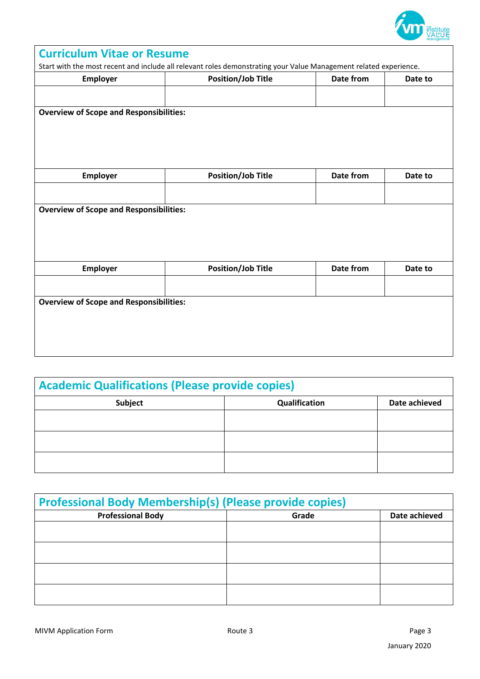

| <b>Curriculum Vitae or Resume</b>                                                                                 |                           |           |         |
|-------------------------------------------------------------------------------------------------------------------|---------------------------|-----------|---------|
| Start with the most recent and include all relevant roles demonstrating your Value Management related experience. |                           |           |         |
| Employer                                                                                                          | <b>Position/Job Title</b> | Date from | Date to |
|                                                                                                                   |                           |           |         |
|                                                                                                                   |                           |           |         |
| <b>Overview of Scope and Responsibilities:</b>                                                                    |                           |           |         |
|                                                                                                                   |                           |           |         |
|                                                                                                                   |                           |           |         |
|                                                                                                                   |                           |           |         |
|                                                                                                                   |                           |           |         |
| <b>Employer</b>                                                                                                   | <b>Position/Job Title</b> | Date from | Date to |
|                                                                                                                   |                           |           |         |
|                                                                                                                   |                           |           |         |
| <b>Overview of Scope and Responsibilities:</b>                                                                    |                           |           |         |
|                                                                                                                   |                           |           |         |
|                                                                                                                   |                           |           |         |
|                                                                                                                   |                           |           |         |
|                                                                                                                   |                           |           |         |
| Employer                                                                                                          | <b>Position/Job Title</b> | Date from | Date to |
|                                                                                                                   |                           |           |         |
|                                                                                                                   |                           |           |         |
| <b>Overview of Scope and Responsibilities:</b>                                                                    |                           |           |         |
|                                                                                                                   |                           |           |         |
|                                                                                                                   |                           |           |         |
|                                                                                                                   |                           |           |         |
|                                                                                                                   |                           |           |         |
|                                                                                                                   |                           |           |         |

| <b>Academic Qualifications (Please provide copies)</b> |               |               |
|--------------------------------------------------------|---------------|---------------|
| <b>Subject</b>                                         | Qualification | Date achieved |
|                                                        |               |               |
|                                                        |               |               |
|                                                        |               |               |

| <b>Professional Body Membership(s) (Please provide copies)</b> |       |               |
|----------------------------------------------------------------|-------|---------------|
| <b>Professional Body</b>                                       | Grade | Date achieved |
|                                                                |       |               |
|                                                                |       |               |
|                                                                |       |               |
|                                                                |       |               |
|                                                                |       |               |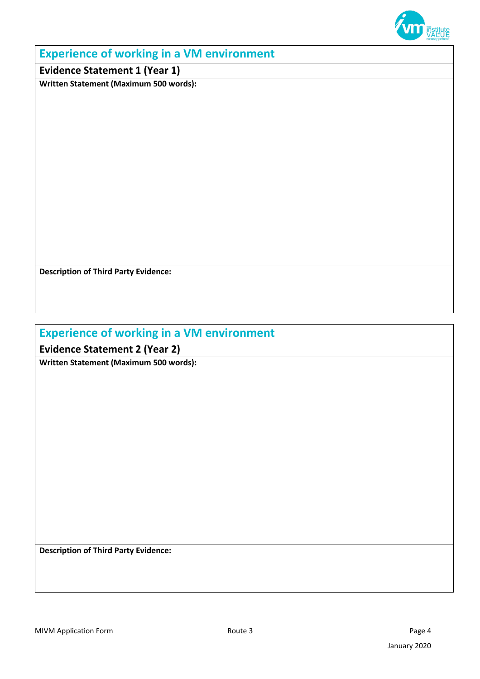

#### **Experience of working in a VM environment**

**Evidence Statement 1 (Year 1)**

**Written Statement (Maximum 500 words):**

**Description of Third Party Evidence:**

#### **Experience of working in a VM environment**

**Evidence Statement 2 (Year 2)**

**Written Statement (Maximum 500 words):**

**Description of Third Party Evidence:**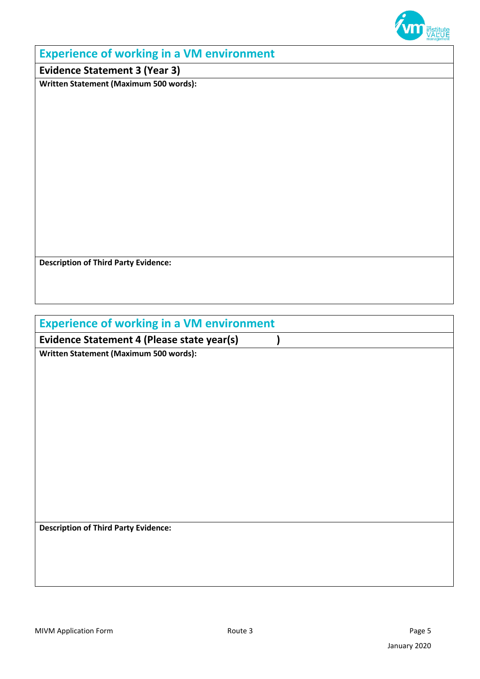

#### **Experience of working in a VM environment**

**Evidence Statement 3 (Year 3)**

**Written Statement (Maximum 500 words):**

**Description of Third Party Evidence:**

### **Experience of working in a VM environment**

**Evidence Statement 4 (Please state year(s) )** 

**Written Statement (Maximum 500 words):**

**Description of Third Party Evidence:**